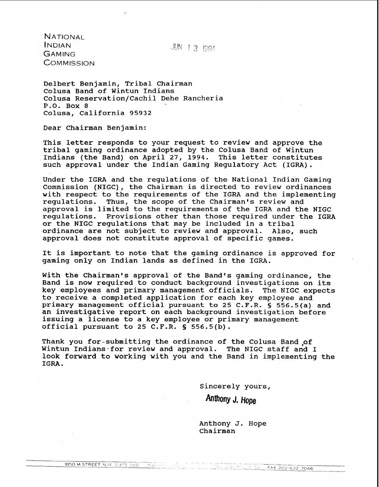JUN 1 3 1994

**NATIONAL INDIAN** GAMING **COMMISSION** 

Delbert Benjamin, Tribal Chairman Colusa Band of wintun Indians Colusa Reservation/Cachil Dehe Rancheria P.O. Box 8 Colusa, California 95932

Dear Chairman Benjamin:

This letter responds to your request to review and approve the tribal gaming ordinance adopted by the Colusa Band of Wintun Indians (the Band) on April 27, 1994. This letter constitutes such approval under the Indian Gaming Regulatory Act (IGRA).

Under the IGRA and the regulations of the National Indian Gaming Commission (NIGC), the Chairman is directed to review ordinances with respect to the requirements of the IGRA and the implementing requlations. Thus, the scope of the Chairman's review and Thus, the scope of the Chairman's review and approval is limited to the requirements of the IGRA and the NIGC regulations. Provisions other than those required under the IGRA or the NIGC regulations that may be included in a tribal ordinance are not subject to review and approval. Also, such ordinance are not subject to review and approval. approval does not constitute approval of specific games.

It is important to note that the gaming ordinance is approved for gaming only on Indian lands as defined in the IGRA.

With the Chairman's approval of the Band's gaming ordinance, the Band is now required to conduct background investigations on its key employees and primary management officials. The NIGC expects to receive a completed application for each key employee and primary management official pursuant to 25 C.F.R. § 556.5(a) and an investigative report on each background investigation before issuing a license to a key employee or primary management official pursuant to 25 C.F.R. § 556.5(b).

Thank you for-submitting the ordinance of the Colusa Band,of Wintun Indians-for review and approval. The NIGC staff and I look forward to working with you and the Band in implementing the IGRA.

> sincerely yours, Anthony J. Hope

Anthony J. Hope Chairman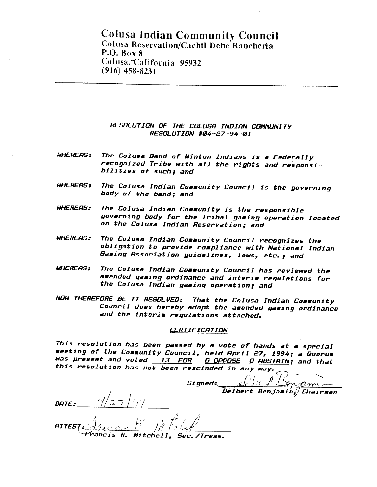# **Colusa Indian Community Council Colusa Reservation/Cachil Dehe Rancheria P.O. Box 8 Col usa,"California 95932 (916) 458-8231**

# **RESOLUTION OF THE COLUSC) INDIRN COMMUNITY RESOLUTION #04-27-94-01**

- **WHEREPIS: The Colusa Band of Wintun Indians is a Federally recognized Tribe with all the rights and responsibilities of such; and**
- WHEREAS: The Colusa Indian Community Council is the governing **body of the band; and**
- **WHEREPIS: The Colusa Indian Community is the responsible governing body for the Tribal gaming operation located on the Colusa Indian Reservation; and**
- WHEREAS: The Colusa Indian Community Council recognizes the **obligation to provide compliance with National Indian**  The Colusa Indian Community Council recognizes t<br>Dbligation to provide compliance with National 1<br>Gaming Association guidelines, laws, etc.; and
- **WHERERS: The Colusa Indian Cormunity Council has reviewed the amended gaming ordinance and interim regulations for the Colusa Indian gaming operation; and**
- **NOW THEREFORE BE IT RESOLVED: That the Colusa Indian Community Council does hereby adopt the amended gaming ordinance and the interim regulations attached.**

**This resolution has been passed by a vote of hands at a special meeting of the Community Council, held Rpril 27, 1994; a Quorum was present and voted 13 FOR O OPPOSE 0 MSTRIN; and that**  *<u>CERTIFICATION</u>***<br>
This resolution has been passed by a vote of hands at a special<br>
eeting of the Community Council, held April 27, 1994; a Quorum**<br>
as present and voted <u>13 FOR © OPPOSE</u> © ABSTAIN; and that<br>
his resoluti

Mitchell.

 $S$ **signed:**  $\theta$   $\left(\chi f\right)$   $\left(\theta f\right)$  $\frac{Q\sqrt{Q}}{Q}$  **belbert** Benjarind Chairman

DATE: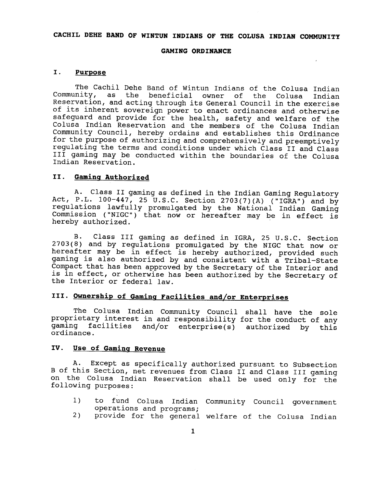# **CACHIL DEHE BAND OF WINTUN INDIANS OF THE COLUSA INDIAN COMMUNITY**

### **GAMING ORDINANCE**

# **I. Purpose**

The Cachil Dehe Band of Wintun Indians of the Colusa Indian Community, as the beneficial owner of the Colusa Indian Reservation, and acting through its General Council in the exercise of its inherent sovereign power to enact ordinances and otherwise safeguard and provide for the health, safety and welfare of the Colusa Indian Reservation and the members of the Colusa Indian Community Council, hereby ordains and establishes this Ordinance for the purpose of authorizing and comprehensively and preemptively regulating the terms and conditions under which Class I1 and Class I11 gaming may be conducted within the boundaries of the Colusa Indian Reservation.

#### **11. Gaminq Authorized**

**A.** Class I1 gaming as defined in the Indian Gaming Regulatory Act, P.L.  $100-447$ , 25 U.S.C. Section  $2703(7)(\text{A})$  ("IGRA") and by regulations lawfully promulgated by the National Indian Gaming Commission ("NIGC") that now or hereafter may be in effect is hereby authorized.

B. Class I11 gaming as defined in IGRA, 25 U.S.C. Section 2703(8) and by regulations promulgated by the NIGC that now or hereafter may be in effect is hereby authorized, provided such gaming is also authorized by and consistent with a Tribal-State Compact that has been approved by the Secretary of the Interior and is in effect, or otherwise has been authorized by the Secretary of the Interior or federal law.

# **111. Ownership of Gaminq Facilities and/or Enterprises**

The Colusa Indian Community Council shall have the sole proprietary interest in and responsibility for the conduct of any gaming facilities and/or enterprise(s) authorized by this facilities and/or enterprise(s) authorized by this ordinance.

# **IV. Use of Gaminq Revenue**

A. Except as specifically authorized pursuant to Subsection **B** of this Section, net revenues from Class I1 and Class I11 gaming on the Colusa Indian Reservation shall be used only for the following purposes:

- 1) to fund Colusa Indian Community Council government operations and programs;
- 2) provide for the general welfare of the Colusa Indian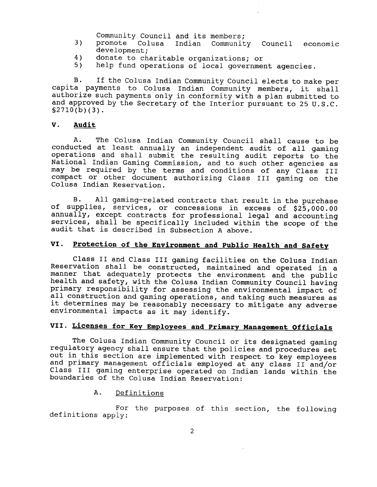Community Council and its members;

- **3)** promote Colusa 1ndian Community Council economic development;
- 4) donate to charitable organizations; or<br>5) help fund operations of local governme
- help fund operations of local government agencies.

**B.** If the Colusa Indian Community Council elects to make per capita payments to Colusa Indian Community members, it shall authorize such payments only in conformity with a plan submitted to and approved by the Secretary of the Interior pursuant to 25 U.S.C. **§2710(b)(3).** 

#### **V. Audit**

A. The Colusa Indian Community Council shall cause to be conducted at least annually an independent audit of all gaming operations and shall submit the resulting audit reports to the National Indian Gaming Commission, and to such other agencies as may be required by the terms and conditions of any Class III compact or other document authorizing Class **I11** gaming on the Colusa Indian Reservation.

**B.** All gaming-related contracts that result in the purchase of supplies, services, or concessions in excess of **\$25,000.00**  annually, except contracts for professional legal and accounting services, shall be specifically included within the scope of the audit that is described in Subsection A above.

# **VI. protection of the Environment and Public Health and Safety**

Class I1 and Class 111 gaming facilities on the Colusa 1ndian Reservation shall be constructed, maintained and operated in a manner that adequately protects the environment and the public health and safety, with the Colusa Indian Community Council having primary responsibility for assessing the environmental impact of all construction and gaming operations, and taking such measures as it determines may be reasonably necessary to mitigate any adverse environmental impacts as it may identify.

# **VII. Licenses for Key Employees and primary Manaqement Officials**

The Colusa Indian Community Council or its designated gaming regulatory agency shall ensure that the policies and procedures set out in this section are implemented with respect to key employees and primary management officials employed at any class I1 and/or Class III gaming enterprise operated on Indian lands within the boundaries of the Colusa Indian Reservation:

# A. Definitions

For the purposes of this section, the following definitions apply: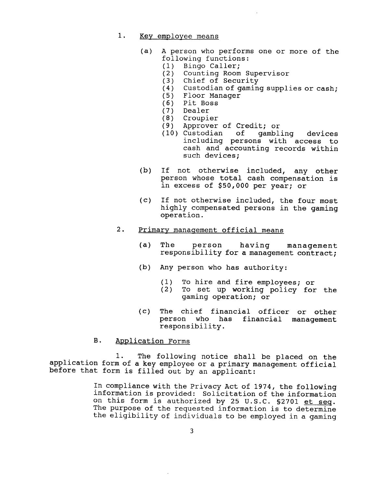# 1. Key employee means

- (a) A person who performs one or more of the following functions:<br>(1) Bingo Caller;
	- Bingo Caller;
	- (2) Counting Room Supervisor
	- (3) Chief of Security<br>(4) Custodian of gamin
	- (4) Custodian of gaming supplies or cash;<br>(5) Floor Manager
	- (5) Floor Manager
	- (6) Pit Boss
	-
	- (7) Dealer<br>(8) Croupie (8) Croupier
	- Approver of Credit; or
	- (10) Custodian of gambling devices including persons with access to cash and accounting records within such devices;
- (b) If not otherwise included, any other person whose total cash compensation is in excess of \$50,000 per year; or
- (c) If not otherwise included, the four most highly compensated persons in the gaming operation.

# 2. Primary management official means

- (a) The person having management responsibility for a management contract;
- (b) Any person who has authority:
	- (1) To hire and fire employees; or<br>(2) To set up working policy for
	- To set up working policy for the gaming operation; or
- (c) The chief financial officer or other person who has financial management responsibility.
- B. Application Forms

1. The following notice shall be placed on the application form of a key employee or a primary management official before that form is filled out by an applicant:

> In compliance with the Privacy Act of 1974, the following information is provided: solicitation of the information on this form is authorized by 25 U.S.C. **S2701** et seq. The purpose of the requested information is to determine the eligibility of individuals to be employed in a gaming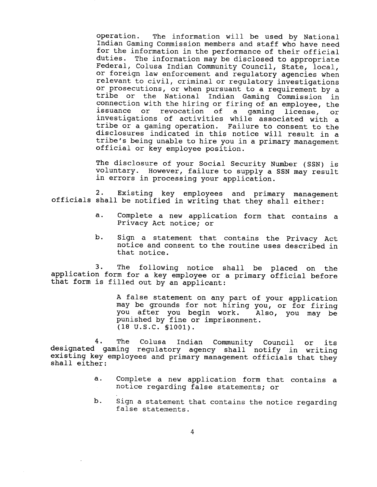operation. The information will be used by National Indian Gaming Commission members and staff who have need for the information in the performance of their official duties. The information may be disclosed to appropriate Federal, Colusa Indian Community Council, State, local, or foreign law enforcement and regulatory agencies when relevant to civil, criminal or regulatory investigations or prosecutions, or when pursuant to a requirement by a tribe or the National Indian Gaming Commission in connection with the hiring or firing of an employee, the issuance or revocation of a gaming license, or investigations of activities while associated with a tribe or a gaming operation. Failure to consent to the disclosures indicated in this notice will result in a tribe's being unable to hire you in a primary management official or key employee position.

The disclosure of your Social Security Number (SSN) is voluntary. However, failure to supply a SSN may result in errors in processing your application.

2. Existing key employees and primary management officials shall be notified in writing that they shall either:

- a. Complete a new application form that contains a Privacy Act notice; or
- b. Sign a statement that contains the Privacy Act notice and consent to the routine uses described in that notice.

3. The following notice shall be placed on the application form for a key employee or a primary official before that form is filled out by an applicant:

> A false statement on any part of your application may be grounds for not hiring you, or for firing you after you begin work. Also, you may be punished by fine or imprisonment. **(18** U.S.C. **S1001).**

4. The Colusa Indian Community Council or its designated gaming regulatory agency shall notify in writing existing key employees and primary management officials that they shall either:

- a. Complete a new application form that contains a notice regarding false statements; or
- **b.** Sign a statement that contains the notice regarding false statements.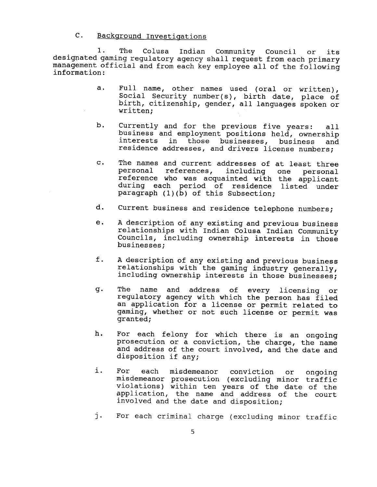# C. Backqround Investiqations

1. The Colusa Indian community Council or its designated gaming regulatory agency shall request from each primary management official and from each key employee all of the following information:

- a. Full name, other names used (oral or written), Social Security number(s), birth date, place of birth, citizenship, gender, all languages spoken or written;
- b. Currently and for the previous five years: all business and employment positions held, ownership interests in those businesses, business and residence addresses, and drivers license numbers;
- c. The names and current addresses of at least three including one personal reference who was acquainted with the applicant during each period of residence listed under paragraph (l)(b) of this Subsection;
- d. Current business and residence telephone numbers;
- e. A description of any existing and previous business relationships with 1ndian Colusa Indian community Councils, including ownership interests in those businesses;
- **<sup>f</sup>**. A description of any existing and previous business relationships with the gaming industry generally, including ownership interests in those businesses;
- g. The name and address of every licensing regulatory agency with which the person has filed an application for a license or permit related to gaming, whether or not such license or permit was granted;
- h. For each felony for which there is an ongoing prosecution or a conviction, the charge, the name and address of the court involved, and the date and disposition if any;
- i. For each misdemeanor conviction or ongoing misdemeanor prosecution (excluding minor traffic violations) within ten years of the date of the application, the name and address of the court involved and the date and disposition;
- j. For each criminal charge (excluding minor traffic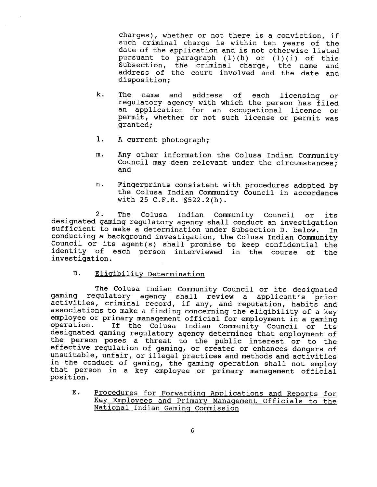charges), whether or not there is a conviction, if such criminal charge is within ten years of the date of the application and is not otherwise listed pursuant to paragraph (1)(h) or (1)(i) of this Subsection, the criminal charge, the name and address of the court involved and the date and disposition;

- k. The name and address of each licensing or regulatory agency with which the person has filed an application for an occupational license or permit, whether or not such license or permit was granted;
- 1. A current photograph;
- m. Any other information the Colusa Indian Community Council may deem relevant under the circumstances; and
- n. Fingerprints consistent with procedures adopted by the Colusa Indian Community Council in accordance with 25 C.F.R. §522.2(h).

2. The Colusa Indian Community Council or its designated gaming regulatory agency shall conduct an investigation sufficient to make a determination under subsection D. below. In conducting a background investigation, the Colusa 1ndian Community Council or its agent(s) shall promise to keep confidential the identity of each person interviewed in the course of the investigation.

D. Eligibility Determination

The Colusa Indian Community Council or its designated gaming regulatory agency shall review a applicant's prior activities, criminal record, if any, and reputation, habits and associations to make a finding concerning the eligibility of a key employee or primary management official for employment in a gaming<br>operation. If the Colusa Indian Community Council or its If the Colusa Indian Community Council or its designated gaming regulatory agency determines that employment of the person poses a threat to the public interest or to the effective regulation of gaming, or creates or enhances dangers of unsuitable, unfair, or illegal practices and methods and activities in the conduct of gaming, the gaming operation shall not employ that person in a key employee or primary management official position.

E. Procedures for Forwarding Applications and Reports for Key Employees and Primary Management Officials to the National Indian Gaming Commission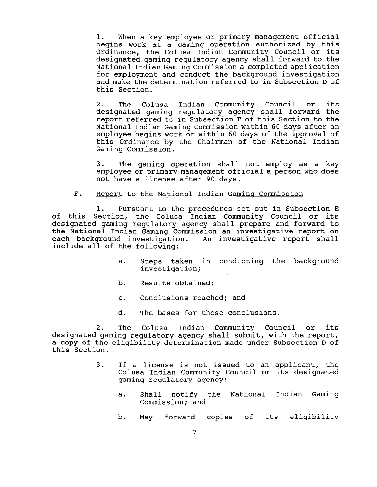**1.** When a key employee or primary management official begins work at a gaming operation authorized by this Ordinance, the Colusa Indian Community Council or its designated gaming regulatory agency shall forward to the National Indian Gaming Commission a completed application for employment and conduct the background investigation and make the determination referred to in Subsection D of this Section.

2. The Colusa Indian Community Council or its designated gaming regulatory agency shall forward the report referred to in Subsection **F** of this Section to the National Indian Gaming Commission within 60 days after an employee begins work or within 60 days of the approval of this Ordinance by the Chairman of the National Indian Gaming Commission.

3. The gaming operation shall not employ as a key employee or primary management official a person who does not have a license after 90 days.

### F. Report to the National Indian Gaminq Commission

1. Pursuant to the procedures set out in Subsection E of this Section, the Colusa Indian Community Council or its designated gaming regulatory agency shall prepare and forward to the National Indian Gaming Commission an investigative report on each background investigation. An investigative report shall include all of the following:

- a. Steps taken in conducting the background investigation;
- b. Results obtained;
- c. Conclusions reached; and
- d. The bases for those conclusions.

2. The Colusa Indian Community Council or its designated gaming regulatory agency shall submit, with the report, a copy of the eligibility determination made under Subsection D of this Section.

- 3. If a license is not issued to an applicant, the Colusa Indian Community Council or its designated gaming regulatory agency:
	- a. Shall notify the National Indian Gaming Commission; and
	- b. May forward copies of its eligibility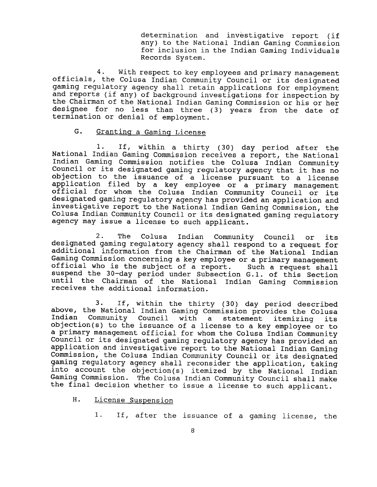determination and investigative report (if any) to the National Indian Gaming Commission for inclusion in the Indian Gaming Individuals Records System.

**4.** With respect to key employees and primary management officials, the Colusa Indian Community Council or its designated gaming regulatory agency shall retain applications for employment and reports (if any) of background investigations for inspection by the Chairman of the National Indian Gaming Commission or his or her designee for no less than three (3) years from the date of termination or denial of employment.

# G. Granting a Gaming License

1. If, within a thirty (30) day period after the National Indian Gaming Commission receives a report, the National Indian Gaming Commission notifies the Colusa Indian Community council or its designated gaming regulatory agency that it 'has no objection to the issuance of a license pursuant to a license application filed by a key employee or a primary management official for whom the Colusa Indian Community Council or its designated gaming regulatory agency has provided an application and investigative report to the National Indian Gaming Commission, the Colusa Indian Community Council or its designated gaming regulatory agency may issue a license to such applicant.

2. The Colusa Indian community Council or its designated gaming regulatory agency shall respond to a request for additional information from the Chairman of the National Indian Gaming Commission concerning a key employee or a primary management<br>official who is the subject of a report. Such a request shall official who is the subject of a report. suspend the 30-day period under Subsection G. 1. of this section until the Chairman of the National Indian Gaming Commission receives the additional information.

3. If, within the thirty (30) day period described above, the National Indian Gaming Commission provides the Colusa<br>Indian Community Council with a statement itemizing its Indian Community Council with a statement itemizing objection(s) to the issuance of a license to a key employee or to a primary management official for whom the Colusa Indian Community Council or its designated gaming regulatory agency has provided an application and investigative report to the National Indian Gaming Commission, the Colusa Indian Community Council or its designated gaming regulatory agency shall reconsider the application, taking into account the objection(s) itemized by the National Indian Gaming Commission. The Colusa Indian Community Council shall make the final decision whether to issue a license to such applicant.

- H. License Suspension
	- 1. If, after the issuance of a gaming license, the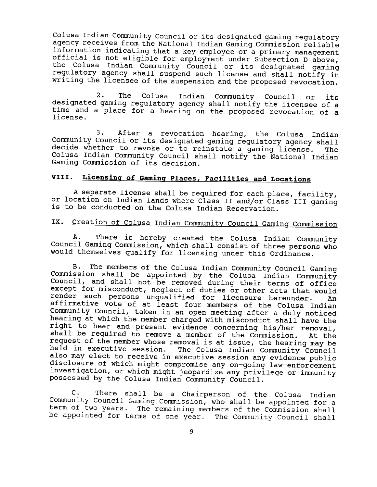Colusa Indian Community Council or its designated gaming regulatory agency receives from the National Indian Gaming Commission reliable information indicating that a key employee or a primary management official is not eligible for employment under Subsection D above, the Colusa Indian Community Council or its designated gaming regulatory agency shall suspend such license and shall notify in writing the licensee of the suspension and the proposed revocation.

2. The Colusa Indian Community Council or its designated gaming regulatory agency shall notify the licensee of a time and a place for a hearing on the proposed revocation of a license.

3. After a revocation hearing, the Colusa Indian Community Council or its designated gaming regulatory agency shall decide whether to revoke or to reinstate a gaming license. The Colusa Indian Community Council shall notify the National Indian Gaming Commission of its decision.

# **VIII. Licensinq of Gamins Places, Facilities and Locations**

A separate license shall be required for each place, facility, or location on Indian lands where Class I1 and/or Class I11 gaming is to be conducted on the Colusa Indian Reservation.

# IX. Creation of Colusa Indian Community Council Gaming Commission

A. There is hereby created the Colusa Indian Community Council Gaming Commission, which shall consist of three persons who would themselves qualify for licensing under this Ordinance.

**B.** The members of the Colusa Indian Community Council Gaming  $[Common matrix]$  is commission shall be appointed by the Colusa Indian Community Council, and shall not be removed during their terms of office except for misconduct, neglect of duties or other acts that would render such persons unqualified for licensure hereunder. An affirmative vote of at least four members of the Colusa Indian Community Council, taken in an open meeting after a duly-noticed hearing at which the member charged with misconduct shall have the right to hear and present evidence concerning his/her removal, shall be required to remove a member of the Commission. At the request of the member whose removal is at issue, the hearing may be<br>held in executive session. The Colusa Indian Community Council The Colusa Indian Community Council also may elect to receive in executive session any evidence public disclosure of which might compromise any on-going law-enforcement investigation, or which might jeopardize any privilege or immunity possessed by the Colusa Indian Community Council.

C. There shall be a Chairperson of the Colusa Indian Community Council Gaming Commission, who shall be appointed for a term of two years. The remaining members of the Commission shall be appointed for terms of one year. The Community Council shall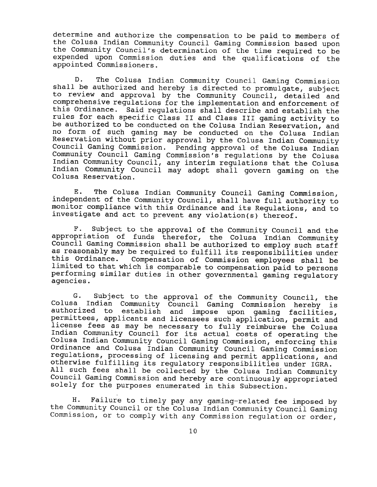determine and authorize the compensation to be paid to members of the Colusa Indian Community Council Gaming Commission based upon the Community Council's determination of the time required to be expended upon Commission duties and the qualifications of the appointed Commissioners.

D. The Colusa Indian Community Council Gaming Commission shall be authorized and hereby is directed to promulgate, subject to review and approval by the community council, detailed and comprehensive regulations for the implementation and enforcement of this Ordinance. Said regulations shall describe and establish the rules for each specific Class I1 and Class I11 gaming activity to be authorized to be conducted on the Colusa Indian Reservation, and no form of such gaming may be conducted on the Colusa 1ndian Reservation without prior approval by the Colusa Indian Community Council Gaming Commission. Pending approval of the Colusa Indian Community Council Gaming Commission's regulations by the Colusa Indian Community Council, any interim regulations that the Colusa Indian Community Council may adopt shall govern gaming on the Colusa Reservation.

E. The Colusa Indian Community Council Gaming Commission, independent of the Community Council, shall have full authority to monitor compliance with this Ordinance and its Regulations, and to investigate and act to prevent any violation(s) thereof.

**F.** Subject to the approval of the Community council and the appropriation of funds therefor, the Colusa Indian community Council Gaming Commission shall be authorized to employ such staff as reasonably may be required to fulfill its responsibilities under<br>this Ordinance. Compensation of Commission employees shall be Compensation of Commission employees shall be limited to that which is comparable to compensation paid to persons performing similar duties in other governmental gaming regulatory agencies.

G. Subject to the approval of the community Council, the Colusa Indian Community Council Gaming Commission hereby is authorized to establish and impose upon gaming facilities, permittees, applicants and licensees such application, permit and license fees as may be necessary to fully reimburse the Colusa Indian Community Council for its actual costs of operating the Colusa Indian Community Council Gaming Commission, enforcing this Ordinance and Colusa Indian Community council Gaming commission regulations, processing of licensing and permit applications, and otherwise fulfilling its regulatory responsibilities under IGRA. All such fees shall be collected by the Colusa Indian Community Council Gaming Commission and hereby are continuously appropriated solely for the purposes enumerated in this Subsection.

**H.** Failure to timely pay any gaming-related fee imposed by the Community Council or the Colusa Indian Community Council Gaming Commission, or to comply with any Commission regulation or order,